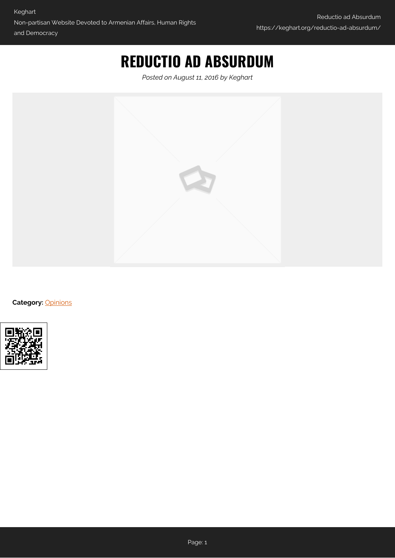# **REDUCTIO AD ABSURDUM**

*Posted on August 11, 2016 by Keghart*



**Category:** [Opinions](https://keghart.org/category/opinions/)

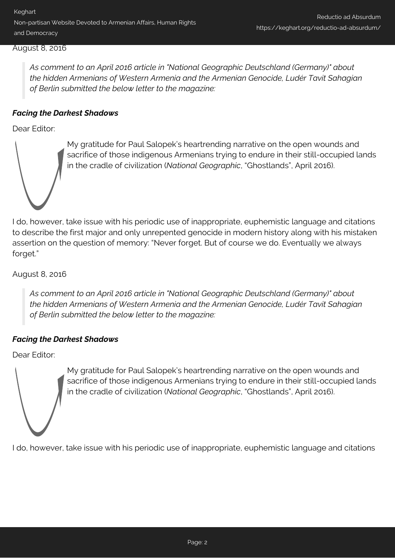### August 8, 2016

*As comment to an April 2016 article in "National Geographic Deutschland (Germany)" about the hidden Armenians of Western Armenia and the Armenian Genocide, Ludér Tavit Sahagian of Berlin submitted the below letter to the magazine:*

## *Facing the Darkest Shadows*

Dear Editor:



My gratitude for Paul Salopek's heartrending narrative on the open wounds and sacrifice of those indigenous Armenians trying to endure in their still-occupied lands in the cradle of civilization (*National Geographic*, "Ghostlands", April 2016).

I do, however, take issue with his periodic use of inappropriate, euphemistic language and citations to describe the first major and only unrepented genocide in modern history along with his mistaken assertion on the question of memory: "Never forget. But of course we do. Eventually we always forget."

August 8, 2016

*As comment to an April 2016 article in "National Geographic Deutschland (Germany)" about the hidden Armenians of Western Armenia and the Armenian Genocide, Ludér Tavit Sahagian of Berlin submitted the below letter to the magazine:*

## *Facing the Darkest Shadows*

Dear Editor:



My gratitude for Paul Salopek's heartrending narrative on the open wounds and sacrifice of those indigenous Armenians trying to endure in their still-occupied lands in the cradle of civilization (*National Geographic*, "Ghostlands", April 2016).

I do, however, take issue with his periodic use of inappropriate, euphemistic language and citations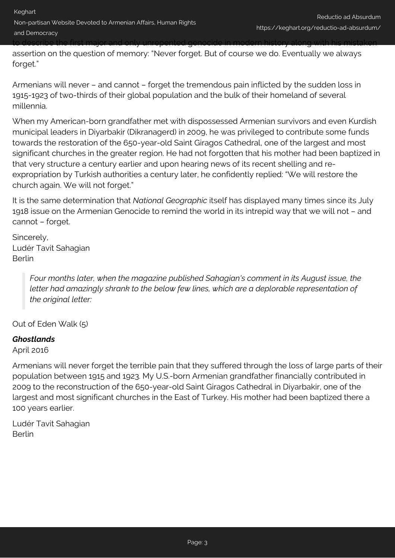assertion on the question of memory: "Never forget. But of course we do. Eventually we always forget."

Armenians will never – and cannot – forget the tremendous pain inflicted by the sudden loss in 1915-1923 of two-thirds of their global population and the bulk of their homeland of several millennia.

When my American-born grandfather met with dispossessed Armenian survivors and even Kurdish municipal leaders in Diyarbakir (Dikranagerd) in 2009, he was privileged to contribute some funds towards the restoration of the 650-year-old Saint Giragos Cathedral, one of the largest and most significant churches in the greater region. He had not forgotten that his mother had been baptized in that very structure a century earlier and upon hearing news of its recent shelling and reexpropriation by Turkish authorities a century later, he confidently replied: "We will restore the church again. We will not forget."

It is the same determination that *National Geographic* itself has displayed many times since its July 1918 issue on the Armenian Genocide to remind the world in its intrepid way that we will not – and cannot – forget.

Sincerely, Ludér Tavit Sahagian Berlin

> *Four months later, when the magazine published Sahagian's comment in its August issue, the letter had amazingly shrank to the below few lines, which are a deplorable representation of the original letter:*

Out of Eden Walk (5)

## *Ghostlands*

April 2016

Armenians will never forget the terrible pain that they suffered through the loss of large parts of their population between 1915 and 1923. My U.S.-born Armenian grandfather financially contributed in 2009 to the reconstruction of the 650-year-old Saint Giragos Cathedral in Diyarbakir, one of the largest and most significant churches in the East of Turkey. His mother had been baptized there a 100 years earlier.

Ludér Tavit Sahagian Berlin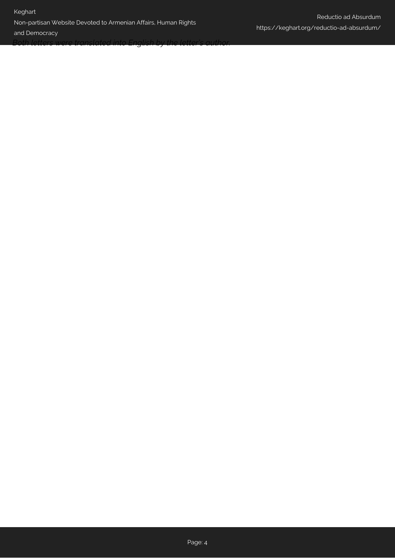### Keghart

## Non-partisan Website Devoted to Armenian Affairs, Human Rights

and Democracy

*Both letters were translated into English by the letter's author.*